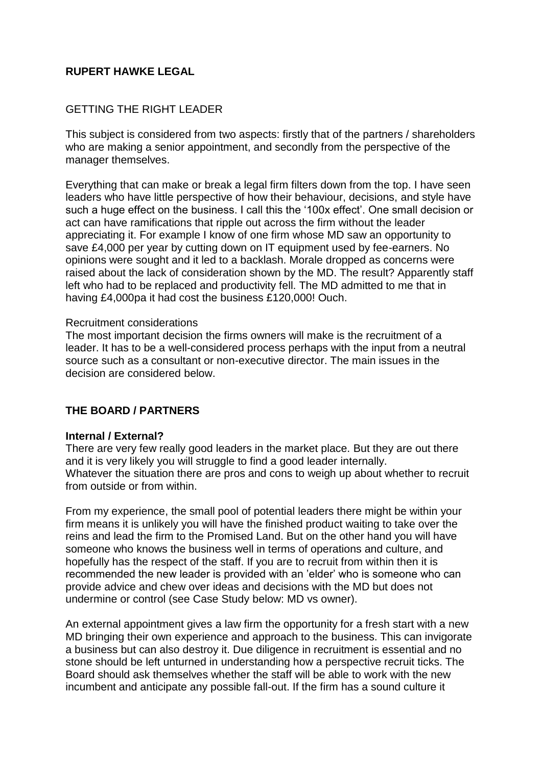## **RUPERT HAWKE LEGAL**

## GETTING THE RIGHT LEADER

This subject is considered from two aspects: firstly that of the partners / shareholders who are making a senior appointment, and secondly from the perspective of the manager themselves.

Everything that can make or break a legal firm filters down from the top. I have seen leaders who have little perspective of how their behaviour, decisions, and style have such a huge effect on the business. I call this the '100x effect'. One small decision or act can have ramifications that ripple out across the firm without the leader appreciating it. For example I know of one firm whose MD saw an opportunity to save £4,000 per year by cutting down on IT equipment used by fee-earners. No opinions were sought and it led to a backlash. Morale dropped as concerns were raised about the lack of consideration shown by the MD. The result? Apparently staff left who had to be replaced and productivity fell. The MD admitted to me that in having £4,000pa it had cost the business £120,000! Ouch.

#### Recruitment considerations

The most important decision the firms owners will make is the recruitment of a leader. It has to be a well-considered process perhaps with the input from a neutral source such as a consultant or non-executive director. The main issues in the decision are considered below.

#### **THE BOARD / PARTNERS**

#### **Internal / External?**

There are very few really good leaders in the market place. But they are out there and it is very likely you will struggle to find a good leader internally. Whatever the situation there are pros and cons to weigh up about whether to recruit from outside or from within.

From my experience, the small pool of potential leaders there might be within your firm means it is unlikely you will have the finished product waiting to take over the reins and lead the firm to the Promised Land. But on the other hand you will have someone who knows the business well in terms of operations and culture, and hopefully has the respect of the staff. If you are to recruit from within then it is recommended the new leader is provided with an 'elder' who is someone who can provide advice and chew over ideas and decisions with the MD but does not undermine or control (see Case Study below: MD vs owner).

An external appointment gives a law firm the opportunity for a fresh start with a new MD bringing their own experience and approach to the business. This can invigorate a business but can also destroy it. Due diligence in recruitment is essential and no stone should be left unturned in understanding how a perspective recruit ticks. The Board should ask themselves whether the staff will be able to work with the new incumbent and anticipate any possible fall-out. If the firm has a sound culture it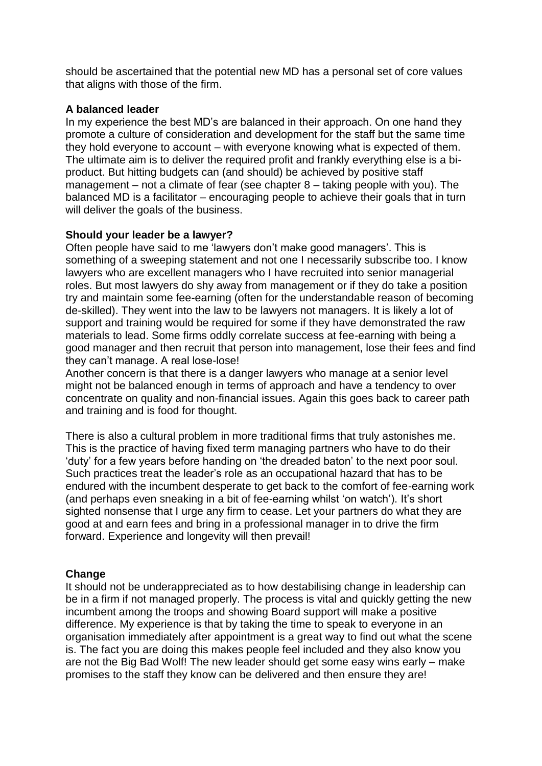should be ascertained that the potential new MD has a personal set of core values that aligns with those of the firm.

## **A balanced leader**

In my experience the best MD's are balanced in their approach. On one hand they promote a culture of consideration and development for the staff but the same time they hold everyone to account – with everyone knowing what is expected of them. The ultimate aim is to deliver the required profit and frankly everything else is a biproduct. But hitting budgets can (and should) be achieved by positive staff management – not a climate of fear (see chapter 8 – taking people with you). The balanced MD is a facilitator – encouraging people to achieve their goals that in turn will deliver the goals of the business.

## **Should your leader be a lawyer?**

Often people have said to me 'lawyers don't make good managers'. This is something of a sweeping statement and not one I necessarily subscribe too. I know lawyers who are excellent managers who I have recruited into senior managerial roles. But most lawyers do shy away from management or if they do take a position try and maintain some fee-earning (often for the understandable reason of becoming de-skilled). They went into the law to be lawyers not managers. It is likely a lot of support and training would be required for some if they have demonstrated the raw materials to lead. Some firms oddly correlate success at fee-earning with being a good manager and then recruit that person into management, lose their fees and find they can't manage. A real lose-lose!

Another concern is that there is a danger lawyers who manage at a senior level might not be balanced enough in terms of approach and have a tendency to over concentrate on quality and non-financial issues. Again this goes back to career path and training and is food for thought.

There is also a cultural problem in more traditional firms that truly astonishes me. This is the practice of having fixed term managing partners who have to do their 'duty' for a few years before handing on 'the dreaded baton' to the next poor soul. Such practices treat the leader's role as an occupational hazard that has to be endured with the incumbent desperate to get back to the comfort of fee-earning work (and perhaps even sneaking in a bit of fee-earning whilst 'on watch'). It's short sighted nonsense that I urge any firm to cease. Let your partners do what they are good at and earn fees and bring in a professional manager in to drive the firm forward. Experience and longevity will then prevail!

# **Change**

It should not be underappreciated as to how destabilising change in leadership can be in a firm if not managed properly. The process is vital and quickly getting the new incumbent among the troops and showing Board support will make a positive difference. My experience is that by taking the time to speak to everyone in an organisation immediately after appointment is a great way to find out what the scene is. The fact you are doing this makes people feel included and they also know you are not the Big Bad Wolf! The new leader should get some easy wins early – make promises to the staff they know can be delivered and then ensure they are!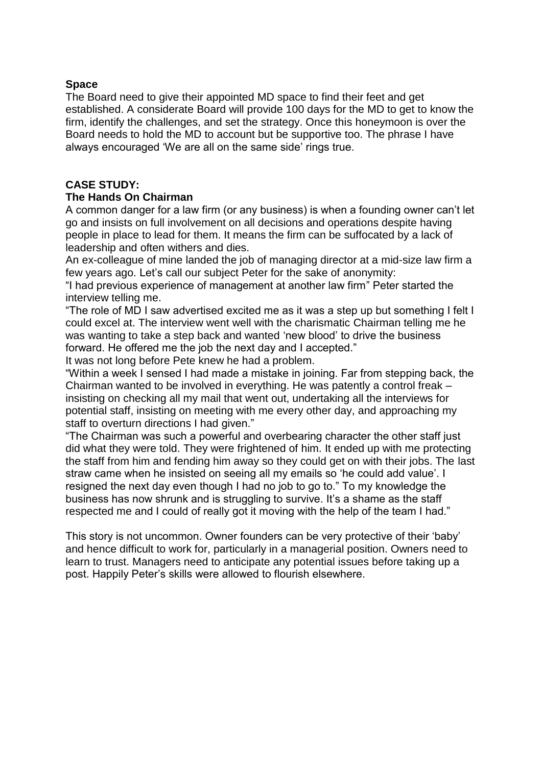#### **Space**

The Board need to give their appointed MD space to find their feet and get established. A considerate Board will provide 100 days for the MD to get to know the firm, identify the challenges, and set the strategy. Once this honeymoon is over the Board needs to hold the MD to account but be supportive too. The phrase I have always encouraged 'We are all on the same side' rings true.

#### **CASE STUDY:**

#### **The Hands On Chairman**

A common danger for a law firm (or any business) is when a founding owner can't let go and insists on full involvement on all decisions and operations despite having people in place to lead for them. It means the firm can be suffocated by a lack of leadership and often withers and dies.

An ex-colleague of mine landed the job of managing director at a mid-size law firm a few years ago. Let's call our subject Peter for the sake of anonymity:

"I had previous experience of management at another law firm" Peter started the interview telling me.

"The role of MD I saw advertised excited me as it was a step up but something I felt I could excel at. The interview went well with the charismatic Chairman telling me he was wanting to take a step back and wanted 'new blood' to drive the business forward. He offered me the job the next day and I accepted."

It was not long before Pete knew he had a problem.

"Within a week I sensed I had made a mistake in joining. Far from stepping back, the Chairman wanted to be involved in everything. He was patently a control freak – insisting on checking all my mail that went out, undertaking all the interviews for potential staff, insisting on meeting with me every other day, and approaching my staff to overturn directions I had given."

"The Chairman was such a powerful and overbearing character the other staff just did what they were told. They were frightened of him. It ended up with me protecting the staff from him and fending him away so they could get on with their jobs. The last straw came when he insisted on seeing all my emails so 'he could add value'. I resigned the next day even though I had no job to go to." To my knowledge the business has now shrunk and is struggling to survive. It's a shame as the staff respected me and I could of really got it moving with the help of the team I had."

This story is not uncommon. Owner founders can be very protective of their 'baby' and hence difficult to work for, particularly in a managerial position. Owners need to learn to trust. Managers need to anticipate any potential issues before taking up a post. Happily Peter's skills were allowed to flourish elsewhere.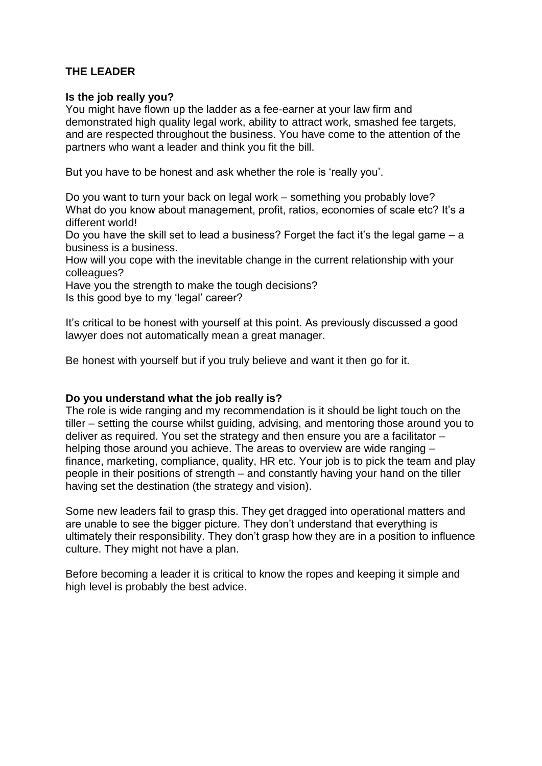# **THE LEADER**

#### **Is the job really you?**

You might have flown up the ladder as a fee-earner at your law firm and demonstrated high quality legal work, ability to attract work, smashed fee targets, and are respected throughout the business. You have come to the attention of the partners who want a leader and think you fit the bill.

But you have to be honest and ask whether the role is 'really you'.

Do you want to turn your back on legal work – something you probably love? What do you know about management, profit, ratios, economies of scale etc? It's a different world!

Do you have the skill set to lead a business? Forget the fact it's the legal game – a business is a business.

How will you cope with the inevitable change in the current relationship with your colleagues?

Have you the strength to make the tough decisions? Is this good bye to my 'legal' career?

It's critical to be honest with yourself at this point. As previously discussed a good lawyer does not automatically mean a great manager.

Be honest with yourself but if you truly believe and want it then go for it.

#### **Do you understand what the job really is?**

The role is wide ranging and my recommendation is it should be light touch on the tiller – setting the course whilst guiding, advising, and mentoring those around you to deliver as required. You set the strategy and then ensure you are a facilitator – helping those around you achieve. The areas to overview are wide ranging – finance, marketing, compliance, quality, HR etc. Your job is to pick the team and play people in their positions of strength – and constantly having your hand on the tiller having set the destination (the strategy and vision).

Some new leaders fail to grasp this. They get dragged into operational matters and are unable to see the bigger picture. They don't understand that everything is ultimately their responsibility. They don't grasp how they are in a position to influence culture. They might not have a plan.

Before becoming a leader it is critical to know the ropes and keeping it simple and high level is probably the best advice.